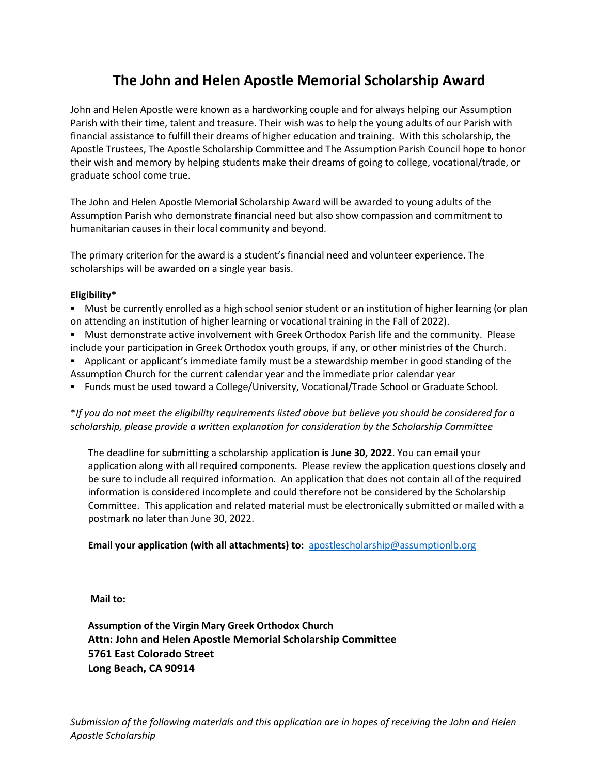## **The John and Helen Apostle Memorial Scholarship Award**

John and Helen Apostle were known as a hardworking couple and for always helping our Assumption Parish with their time, talent and treasure. Their wish was to help the young adults of our Parish with financial assistance to fulfill their dreams of higher education and training. With this scholarship, the Apostle Trustees, The Apostle Scholarship Committee and The Assumption Parish Council hope to honor their wish and memory by helping students make their dreams of going to college, vocational/trade, or graduate school come true.

The John and Helen Apostle Memorial Scholarship Award will be awarded to young adults of the Assumption Parish who demonstrate financial need but also show compassion and commitment to humanitarian causes in their local community and beyond.

The primary criterion for the award is a student's financial need and volunteer experience. The scholarships will be awarded on a single year basis.

## **Eligibility\***

- Must be currently enrolled as a high school senior student or an institution of higher learning (or plan on attending an institution of higher learning or vocational training in the Fall of 2022).
- Must demonstrate active involvement with Greek Orthodox Parish life and the community. Please include your participation in Greek Orthodox youth groups, if any, or other ministries of the Church.
- **EX** Applicant or applicant's immediate family must be a stewardship member in good standing of the Assumption Church for the current calendar year and the immediate prior calendar year
- Funds must be used toward a College/University, Vocational/Trade School or Graduate School.

\**If you do not meet the eligibility requirements listed above but believe you should be considered for a scholarship, please provide a written explanation for consideration by the Scholarship Committee*

The deadline for submitting a scholarship application **is June 30, 2022**. You can email your application along with all required components. Please review the application questions closely and be sure to include all required information. An application that does not contain all of the required information is considered incomplete and could therefore not be considered by the Scholarship Committee. This application and related material must be electronically submitted or mailed with a postmark no later than June 30, 2022.

**Email your application (with all attachments) to:** [apostlescholarship@assumptionlb.org](mailto:apostlescholarship@assumptionlb.org)

**Mail to:**

**Assumption of the Virgin Mary Greek Orthodox Church Attn: John and Helen Apostle Memorial Scholarship Committee 5761 East Colorado Street Long Beach, CA 90914**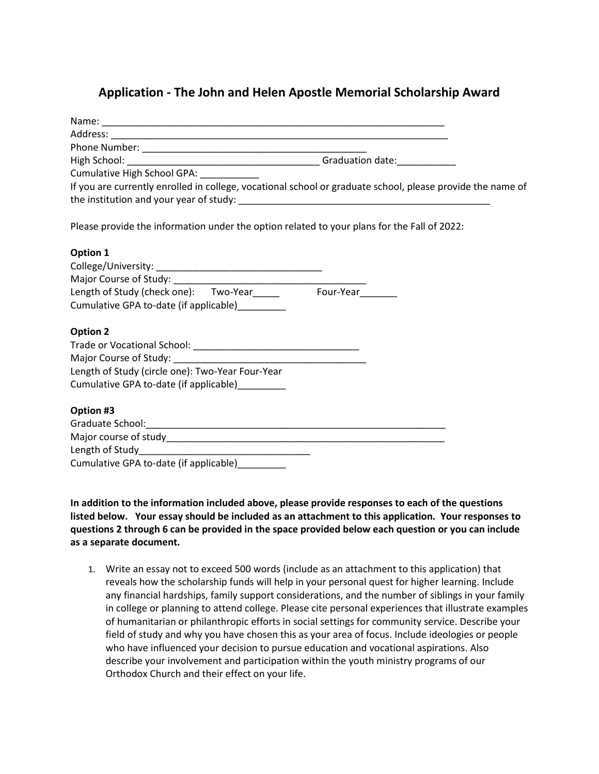## **Application - The John and Helen Apostle Memorial Scholarship Award**

| Cumulative High School GPA: ____________                                                                   |  |
|------------------------------------------------------------------------------------------------------------|--|
| If you are currently enrolled in college, vocational school or graduate school, please provide the name of |  |
| Please provide the information under the option related to your plans for the Fall of 2022:                |  |
| Option 1                                                                                                   |  |
|                                                                                                            |  |
|                                                                                                            |  |
| Length of Study (check one): Two-Year______ Four-Year______                                                |  |
| Cumulative GPA to-date (if applicable)_________                                                            |  |
| <b>Option 2</b>                                                                                            |  |
|                                                                                                            |  |
|                                                                                                            |  |
| Length of Study (circle one): Two-Year Four-Year                                                           |  |
| Cumulative GPA to-date (if applicable)                                                                     |  |
| Option #3                                                                                                  |  |
|                                                                                                            |  |
|                                                                                                            |  |
|                                                                                                            |  |
| Cumulative GPA to-date (if applicable)_________                                                            |  |

**In addition to the information included above, please provide responses to each of the questions listed below. Your essay should be included as an attachment to this application. Your responses to questions 2 through 6 can be provided in the space provided below each question or you can include as a separate document.** 

1. Write an essay not to exceed 500 words (include as an attachment to this application) that reveals how the scholarship funds will help in your personal quest for higher learning. Include any financial hardships, family support considerations, and the number of siblings in your family in college or planning to attend college. Please cite personal experiences that illustrate examples of humanitarian or philanthropic efforts in social settings for community service. Describe your field of study and why you have chosen this as your area of focus. Include ideologies or people who have influenced your decision to pursue education and vocational aspirations. Also describe your involvement and participation within the youth ministry programs of our Orthodox Church and their effect on your life.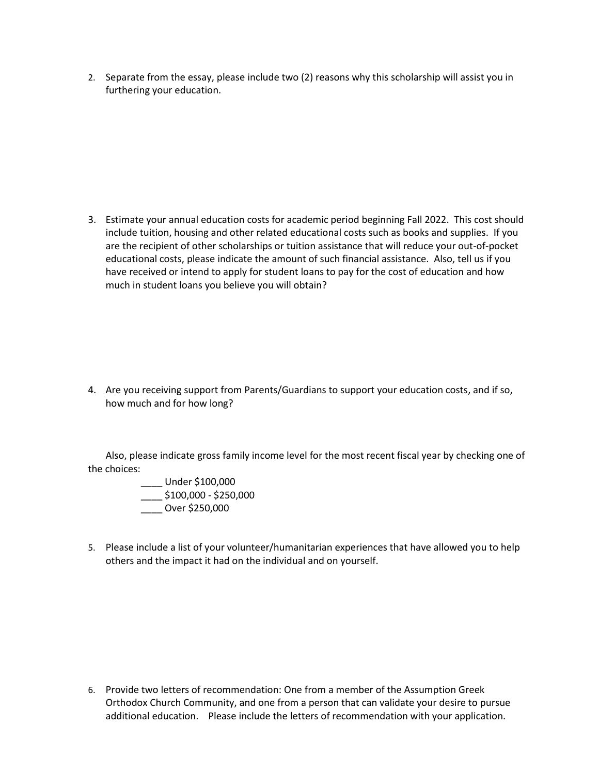2. Separate from the essay, please include two (2) reasons why this scholarship will assist you in furthering your education.

3. Estimate your annual education costs for academic period beginning Fall 2022. This cost should include tuition, housing and other related educational costs such as books and supplies. If you are the recipient of other scholarships or tuition assistance that will reduce your out-of-pocket educational costs, please indicate the amount of such financial assistance. Also, tell us if you have received or intend to apply for student loans to pay for the cost of education and how much in student loans you believe you will obtain?

4. Are you receiving support from Parents/Guardians to support your education costs, and if so, how much and for how long?

Also, please indicate gross family income level for the most recent fiscal year by checking one of the choices:

- \_\_\_\_ Under \$100,000 \_\_\_\_ \$100,000 - \$250,000 \_\_\_\_ Over \$250,000
- 5. Please include a list of your volunteer/humanitarian experiences that have allowed you to help others and the impact it had on the individual and on yourself.

6. Provide two letters of recommendation: One from a member of the Assumption Greek Orthodox Church Community, and one from a person that can validate your desire to pursue additional education. Please include the letters of recommendation with your application.